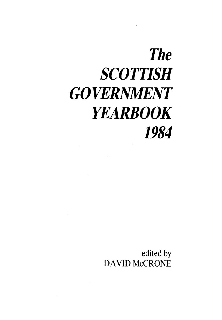## *The SCOTTISH GOVERNMENT YEARBOOK 1984*

edited by DAVID McCRONE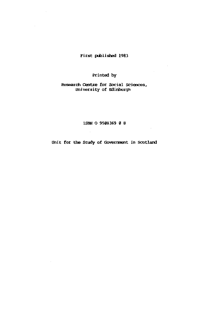## First published 1983

## Printed by

Research Centre for Social Sciences, University of Edinburgh

ISBN 0 9508369 0 8

Unit for the Study of Government in Scotland